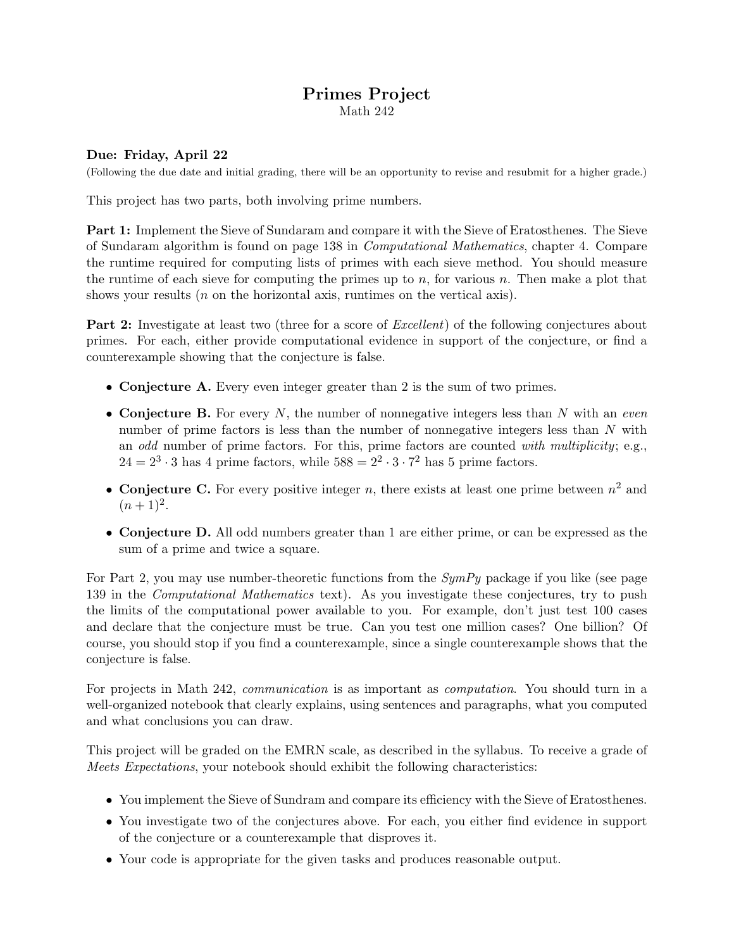## Primes Project Math 242

## Due: Friday, April 22

(Following the due date and initial grading, there will be an opportunity to revise and resubmit for a higher grade.)

This project has two parts, both involving prime numbers.

Part 1: Implement the Sieve of Sundaram and compare it with the Sieve of Eratosthenes. The Sieve of Sundaram algorithm is found on page 138 in Computational Mathematics, chapter 4. Compare the runtime required for computing lists of primes with each sieve method. You should measure the runtime of each sieve for computing the primes up to  $n$ , for various  $n$ . Then make a plot that shows your results (*n* on the horizontal axis, runtimes on the vertical axis).

**Part 2:** Investigate at least two (three for a score of *Excellent*) of the following conjectures about primes. For each, either provide computational evidence in support of the conjecture, or find a counterexample showing that the conjecture is false.

- Conjecture A. Every even integer greater than 2 is the sum of two primes.
- Conjecture B. For every  $N$ , the number of nonnegative integers less than  $N$  with an even number of prime factors is less than the number of nonnegative integers less than N with an *odd* number of prime factors. For this, prime factors are counted with multiplicity; e.g.,  $24 = 2^3 \cdot 3$  has 4 prime factors, while  $588 = 2^2 \cdot 3 \cdot 7^2$  has 5 prime factors.
- Conjecture C. For every positive integer n, there exists at least one prime between  $n^2$  and  $(n+1)^2$ .
- Conjecture D. All odd numbers greater than 1 are either prime, or can be expressed as the sum of a prime and twice a square.

For Part 2, you may use number-theoretic functions from the  $SymPy$  package if you like (see page 139 in the Computational Mathematics text). As you investigate these conjectures, try to push the limits of the computational power available to you. For example, don't just test 100 cases and declare that the conjecture must be true. Can you test one million cases? One billion? Of course, you should stop if you find a counterexample, since a single counterexample shows that the conjecture is false.

For projects in Math 242, *communication* is as important as *computation*. You should turn in a well-organized notebook that clearly explains, using sentences and paragraphs, what you computed and what conclusions you can draw.

This project will be graded on the EMRN scale, as described in the syllabus. To receive a grade of Meets Expectations, your notebook should exhibit the following characteristics:

- You implement the Sieve of Sundram and compare its efficiency with the Sieve of Eratosthenes.
- You investigate two of the conjectures above. For each, you either find evidence in support of the conjecture or a counterexample that disproves it.
- Your code is appropriate for the given tasks and produces reasonable output.